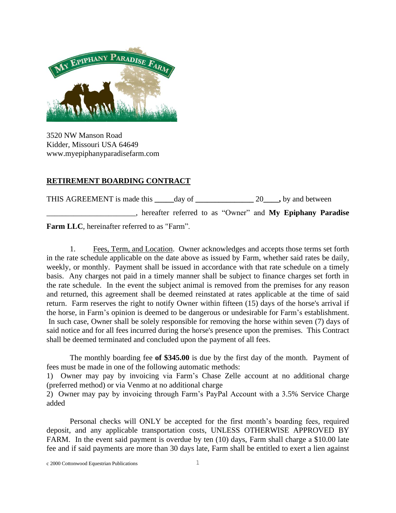

3520 NW Manson Road Kidder, Missouri USA 64649 www.myepiphanyparadisefarm.com

## **RETIREMENT BOARDING CONTRACT**

THIS AGREEMENT is made this **\_\_\_\_\_**day of **\_\_\_\_\_\_\_\_\_\_\_\_\_\_\_** 20**\_\_\_\_,** by and between \_\_\_\_\_\_\_\_\_\_\_\_\_\_\_\_\_\_\_\_\_\_\_, hereafter referred to as "Owner" and **My Epiphany Paradise**

**Farm LLC**, hereinafter referred to as "Farm".

1. Fees, Term, and Location. Owner acknowledges and accepts those terms set forth in the rate schedule applicable on the date above as issued by Farm, whether said rates be daily, weekly, or monthly. Payment shall be issued in accordance with that rate schedule on a timely basis. Any charges not paid in a timely manner shall be subject to finance charges set forth in the rate schedule. In the event the subject animal is removed from the premises for any reason and returned, this agreement shall be deemed reinstated at rates applicable at the time of said return. Farm reserves the right to notify Owner within fifteen (15) days of the horse's arrival if the horse, in Farm's opinion is deemed to be dangerous or undesirable for Farm's establishment. In such case, Owner shall be solely responsible for removing the horse within seven (7) days of said notice and for all fees incurred during the horse's presence upon the premises. This Contract shall be deemed terminated and concluded upon the payment of all fees.

The monthly boarding fee **of \$345.00** is due by the first day of the month. Payment of fees must be made in one of the following automatic methods:

1) Owner may pay by invoicing via Farm's Chase Zelle account at no additional charge (preferred method) or via Venmo at no additional charge

2) Owner may pay by invoicing through Farm's PayPal Account with a 3.5% Service Charge added

Personal checks will ONLY be accepted for the first month's boarding fees, required deposit, and any applicable transportation costs, UNLESS OTHERWISE APPROVED BY FARM. In the event said payment is overdue by ten (10) days, Farm shall charge a \$10.00 late fee and if said payments are more than 30 days late, Farm shall be entitled to exert a lien against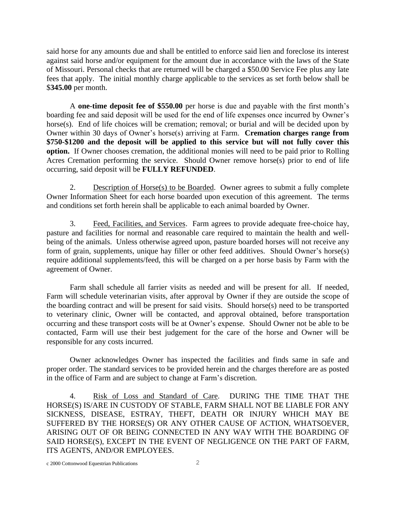said horse for any amounts due and shall be entitled to enforce said lien and foreclose its interest against said horse and/or equipment for the amount due in accordance with the laws of the State of Missouri. Personal checks that are returned will be charged a \$50.00 Service Fee plus any late fees that apply. The initial monthly charge applicable to the services as set forth below shall be \$**345.00** per month.

A **one-time deposit fee of \$550.00** per horse is due and payable with the first month's boarding fee and said deposit will be used for the end of life expenses once incurred by Owner's horse(s). End of life choices will be cremation; removal; or burial and will be decided upon by Owner within 30 days of Owner's horse(s) arriving at Farm. **Cremation charges range from \$750-\$1200 and the deposit will be applied to this service but will not fully cover this option.** If Owner chooses cremation, the additional monies will need to be paid prior to Rolling Acres Cremation performing the service. Should Owner remove horse(s) prior to end of life occurring, said deposit will be **FULLY REFUNDED**.

2. Description of Horse(s) to be Boarded. Owner agrees to submit a fully complete Owner Information Sheet for each horse boarded upon execution of this agreement. The terms and conditions set forth herein shall be applicable to each animal boarded by Owner.

3. Feed, Facilities, and Services. Farm agrees to provide adequate free-choice hay, pasture and facilities for normal and reasonable care required to maintain the health and wellbeing of the animals. Unless otherwise agreed upon, pasture boarded horses will not receive any form of grain, supplements, unique hay filler or other feed additives. Should Owner's horse(s) require additional supplements/feed, this will be charged on a per horse basis by Farm with the agreement of Owner.

Farm shall schedule all farrier visits as needed and will be present for all. If needed, Farm will schedule veterinarian visits, after approval by Owner if they are outside the scope of the boarding contract and will be present for said visits. Should horse(s) need to be transported to veterinary clinic, Owner will be contacted, and approval obtained, before transportation occurring and these transport costs will be at Owner's expense. Should Owner not be able to be contacted, Farm will use their best judgement for the care of the horse and Owner will be responsible for any costs incurred.

Owner acknowledges Owner has inspected the facilities and finds same in safe and proper order. The standard services to be provided herein and the charges therefore are as posted in the office of Farm and are subject to change at Farm's discretion.

4. Risk of Loss and Standard of Care. DURING THE TIME THAT THE HORSE(S) IS/ARE IN CUSTODY OF STABLE, FARM SHALL NOT BE LIABLE FOR ANY SICKNESS, DISEASE, ESTRAY, THEFT, DEATH OR INJURY WHICH MAY BE SUFFERED BY THE HORSE(S) OR ANY OTHER CAUSE OF ACTION, WHATSOEVER, ARISING OUT OF OR BEING CONNECTED IN ANY WAY WITH THE BOARDING OF SAID HORSE(S), EXCEPT IN THE EVENT OF NEGLIGENCE ON THE PART OF FARM, ITS AGENTS, AND/OR EMPLOYEES.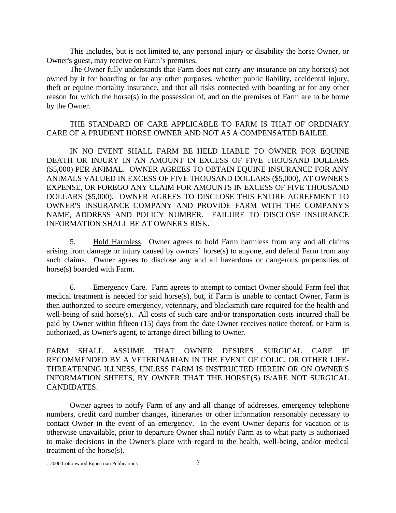This includes, but is not limited to, any personal injury or disability the horse Owner, or Owner's guest, may receive on Farm's premises.

The Owner fully understands that Farm does not carry any insurance on any horse(s) not owned by it for boarding or for any other purposes, whether public liability, accidental injury, theft or equine mortality insurance, and that all risks connected with boarding or for any other reason for which the horse(s) in the possession of, and on the premises of Farm are to be borne by the Owner.

## THE STANDARD OF CARE APPLICABLE TO FARM IS THAT OF ORDINARY CARE OF A PRUDENT HORSE OWNER AND NOT AS A COMPENSATED BAILEE.

IN NO EVENT SHALL FARM BE HELD LIABLE TO OWNER FOR EQUINE DEATH OR INJURY IN AN AMOUNT IN EXCESS OF FIVE THOUSAND DOLLARS (\$5,000) PER ANIMAL. OWNER AGREES TO OBTAIN EQUINE INSURANCE FOR ANY ANIMALS VALUED IN EXCESS OF FIVE THOUSAND DOLLARS (\$5,000), AT OWNER'S EXPENSE, OR FOREGO ANY CLAIM FOR AMOUNTS IN EXCESS OF FIVE THOUSAND DOLLARS (\$5,000). OWNER AGREES TO DISCLOSE THIS ENTIRE AGREEMENT TO OWNER'S INSURANCE COMPANY AND PROVIDE FARM WITH THE COMPANY'S NAME, ADDRESS AND POLICY NUMBER. FAILURE TO DISCLOSE INSURANCE INFORMATION SHALL BE AT OWNER'S RISK.

5. Hold Harmless. Owner agrees to hold Farm harmless from any and all claims arising from damage or injury caused by owners' horse(s) to anyone, and defend Farm from any such claims. Owner agrees to disclose any and all hazardous or dangerous propensities of horse(s) boarded with Farm.

6. Emergency Care. Farm agrees to attempt to contact Owner should Farm feel that medical treatment is needed for said horse(s), but, if Farm is unable to contact Owner, Farm is then authorized to secure emergency, veterinary, and blacksmith care required for the health and well-being of said horse(s). All costs of such care and/or transportation costs incurred shall be paid by Owner within fifteen (15) days from the date Owner receives notice thereof, or Farm is authorized, as Owner's agent, to arrange direct billing to Owner.

FARM SHALL ASSUME THAT OWNER DESIRES SURGICAL CARE IF RECOMMENDED BY A VETERINARIAN IN THE EVENT OF COLIC, OR OTHER LIFE-THREATENING ILLNESS, UNLESS FARM IS INSTRUCTED HEREIN OR ON OWNER'S INFORMATION SHEETS, BY OWNER THAT THE HORSE(S) IS/ARE NOT SURGICAL CANDIDATES.

Owner agrees to notify Farm of any and all change of addresses, emergency telephone numbers, credit card number changes, itineraries or other information reasonably necessary to contact Owner in the event of an emergency. In the event Owner departs for vacation or is otherwise unavailable, prior to departure Owner shall notify Farm as to what party is authorized to make decisions in the Owner's place with regard to the health, well-being, and/or medical treatment of the horse(s).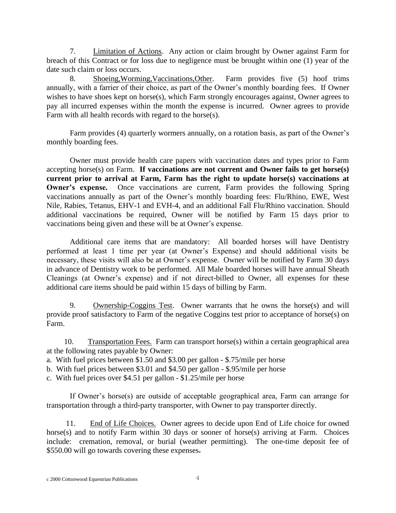7. Limitation of Actions. Any action or claim brought by Owner against Farm for breach of this Contract or for loss due to negligence must be brought within one (1) year of the date such claim or loss occurs.

8. Shoeing,Worming,Vaccinations,Other. Farm provides five (5) hoof trims annually, with a farrier of their choice, as part of the Owner's monthly boarding fees. If Owner wishes to have shoes kept on horse(s), which Farm strongly encourages against, Owner agrees to pay all incurred expenses within the month the expense is incurred. Owner agrees to provide Farm with all health records with regard to the horse(s).

Farm provides (4) quarterly wormers annually, on a rotation basis, as part of the Owner's monthly boarding fees.

Owner must provide health care papers with vaccination dates and types prior to Farm accepting horse(s) on Farm. **If vaccinations are not current and Owner fails to get horse(s) current prior to arrival at Farm, Farm has the right to update horse(s) vaccinations at Owner's expense.** Once vaccinations are current, Farm provides the following Spring vaccinations annually as part of the Owner's monthly boarding fees: Flu/Rhino, EWE, West Nile, Rabies, Tetanus, EHV-1 and EVH-4, and an additional Fall Flu/Rhino vaccination. Should additional vaccinations be required, Owner will be notified by Farm 15 days prior to vaccinations being given and these will be at Owner's expense.

Additional care items that are mandatory: All boarded horses will have Dentistry performed at least 1 time per year (at Owner's Expense) and should additional visits be necessary, these visits will also be at Owner's expense. Owner will be notified by Farm 30 days in advance of Dentistry work to be performed. All Male boarded horses will have annual Sheath Cleanings (at Owner's expense) and if not direct-billed to Owner, all expenses for these additional care items should be paid within 15 days of billing by Farm.

9. Ownership-Coggins Test. Owner warrants that he owns the horse(s) and will provide proof satisfactory to Farm of the negative Coggins test prior to acceptance of horse(s) on Farm.

10. Transportation Fees. Farm can transport horse(s) within a certain geographical area at the following rates payable by Owner:

a. With fuel prices between \$1.50 and \$3.00 per gallon - \$.75/mile per horse

b. With fuel prices between \$3.01 and \$4.50 per gallon - \$.95/mile per horse

c. With fuel prices over \$4.51 per gallon - \$1.25/mile per horse

If Owner's horse(s) are outside of acceptable geographical area, Farm can arrange for transportation through a third-party transporter, with Owner to pay transporter directly.

 11. End of Life Choices. Owner agrees to decide upon End of Life choice for owned horse(s) and to notify Farm within 30 days or sooner of horse(s) arriving at Farm. Choices include: cremation, removal, or burial (weather permitting). The one-time deposit fee of \$550.00 will go towards covering these expenses.

c 2000 Cottonwood Equestrian Publications 4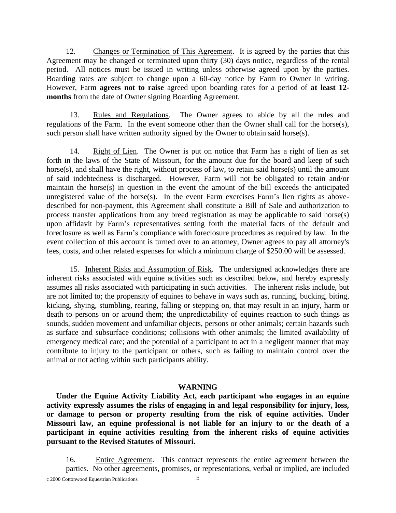12. Changes or Termination of This Agreement. It is agreed by the parties that this Agreement may be changed or terminated upon thirty (30) days notice, regardless of the rental period. All notices must be issued in writing unless otherwise agreed upon by the parties. Boarding rates are subject to change upon a 60-day notice by Farm to Owner in writing. However, Farm **agrees not to raise** agreed upon boarding rates for a period of **at least 12 months** from the date of Owner signing Boarding Agreement.

13. Rules and Regulations. The Owner agrees to abide by all the rules and regulations of the Farm. In the event someone other than the Owner shall call for the horse(s), such person shall have written authority signed by the Owner to obtain said horse(s).

14. Right of Lien. The Owner is put on notice that Farm has a right of lien as set forth in the laws of the State of Missouri, for the amount due for the board and keep of such horse(s), and shall have the right, without process of law, to retain said horse(s) until the amount of said indebtedness is discharged. However, Farm will not be obligated to retain and/or maintain the horse(s) in question in the event the amount of the bill exceeds the anticipated unregistered value of the horse(s). In the event Farm exercises Farm's lien rights as abovedescribed for non-payment, this Agreement shall constitute a Bill of Sale and authorization to process transfer applications from any breed registration as may be applicable to said horse(s) upon affidavit by Farm's representatives setting forth the material facts of the default and foreclosure as well as Farm's compliance with foreclosure procedures as required by law. In the event collection of this account is turned over to an attorney, Owner agrees to pay all attorney's fees, costs, and other related expenses for which a minimum charge of \$250.00 will be assessed.

15.Inherent Risks and Assumption of Risk. The undersigned acknowledges there are inherent risks associated with equine activities such as described below, and hereby expressly assumes all risks associated with participating in such activities. The inherent risks include, but are not limited to; the propensity of equines to behave in ways such as, running, bucking, biting, kicking, shying, stumbling, rearing, falling or stepping on, that may result in an injury, harm or death to persons on or around them; the unpredictability of equines reaction to such things as sounds, sudden movement and unfamiliar objects, persons or other animals; certain hazards such as surface and subsurface conditions; collisions with other animals; the limited availability of emergency medical care; and the potential of a participant to act in a negligent manner that may contribute to injury to the participant or others, such as failing to maintain control over the animal or not acting within such participants ability.

## **WARNING**

 **Under the Equine Activity Liability Act, each participant who engages in an equine activity expressly assumes the risks of engaging in and legal responsibility for injury, loss, or damage to person or property resulting from the risk of equine activities. Under Missouri law, an equine professional is not liable for an injury to or the death of a participant in equine activities resulting from the inherent risks of equine activities pursuant to the Revised Statutes of Missouri.**

16. Entire Agreement. This contract represents the entire agreement between the parties. No other agreements, promises, or representations, verbal or implied, are included